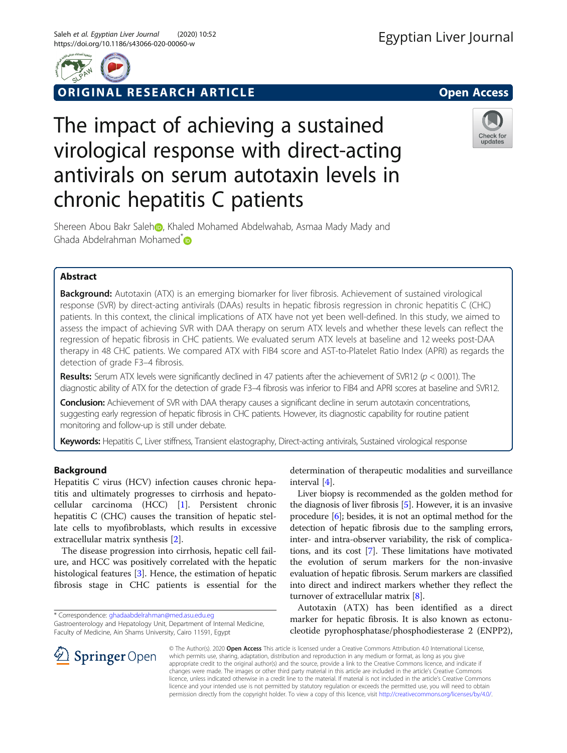

**ORIGINAL RESEARCH ARTICLE CONFIDENTIAL COMPONENT OPEN ACCESS** 

# The impact of achieving a sustained virological response with direct-acting antivirals on serum autotaxin levels in chronic hepatitis C patients



S[h](https://orcid.org/0000-0002-0984-1725)ereen Abou Bakr Saleh D, Khaled Mohamed Abdelwahab, Asmaa Mady Mady and Ghada Abdelrahman Mohamed<sup>\*</sup>

# Abstract

Background: Autotaxin (ATX) is an emerging biomarker for liver fibrosis. Achievement of sustained virological response (SVR) by direct-acting antivirals (DAAs) results in hepatic fibrosis regression in chronic hepatitis C (CHC) patients. In this context, the clinical implications of ATX have not yet been well-defined. In this study, we aimed to assess the impact of achieving SVR with DAA therapy on serum ATX levels and whether these levels can reflect the regression of hepatic fibrosis in CHC patients. We evaluated serum ATX levels at baseline and 12 weeks post-DAA therapy in 48 CHC patients. We compared ATX with FIB4 score and AST-to-Platelet Ratio Index (APRI) as regards the detection of grade F3–4 fibrosis.

Results: Serum ATX levels were significantly declined in 47 patients after the achievement of SVR12 ( $p < 0.001$ ). The diagnostic ability of ATX for the detection of grade F3–4 fibrosis was inferior to FIB4 and APRI scores at baseline and SVR12.

**Conclusion:** Achievement of SVR with DAA therapy causes a significant decline in serum autotaxin concentrations, suggesting early regression of hepatic fibrosis in CHC patients. However, its diagnostic capability for routine patient monitoring and follow-up is still under debate.

Keywords: Hepatitis C, Liver stiffness, Transient elastography, Direct-acting antivirals, Sustained virological response

# Background

Hepatitis C virus (HCV) infection causes chronic hepatitis and ultimately progresses to cirrhosis and hepatocellular carcinoma (HCC) [[1](#page-5-0)]. Persistent chronic hepatitis C (CHC) causes the transition of hepatic stellate cells to myofibroblasts, which results in excessive extracellular matrix synthesis [\[2](#page-5-0)].

The disease progression into cirrhosis, hepatic cell failure, and HCC was positively correlated with the hepatic histological features [\[3\]](#page-5-0). Hence, the estimation of hepatic fibrosis stage in CHC patients is essential for the

SpringerOpen

Gastroenterology and Hepatology Unit, Department of Internal Medicine, Faculty of Medicine, Ain Shams University, Cairo 11591, Egypt



Liver biopsy is recommended as the golden method for the diagnosis of liver fibrosis [\[5](#page-5-0)]. However, it is an invasive procedure [\[6](#page-5-0)]; besides, it is not an optimal method for the detection of hepatic fibrosis due to the sampling errors, inter- and intra-observer variability, the risk of complications, and its cost [[7\]](#page-5-0). These limitations have motivated the evolution of serum markers for the non-invasive evaluation of hepatic fibrosis. Serum markers are classified into direct and indirect markers whether they reflect the turnover of extracellular matrix [\[8\]](#page-5-0).

Autotaxin (ATX) has been identified as a direct marker for hepatic fibrosis. It is also known as ectonucleotide pyrophosphatase/phosphodiesterase 2 (ENPP2),

© The Author(s). 2020 Open Access This article is licensed under a Creative Commons Attribution 4.0 International License, which permits use, sharing, adaptation, distribution and reproduction in any medium or format, as long as you give appropriate credit to the original author(s) and the source, provide a link to the Creative Commons licence, and indicate if changes were made. The images or other third party material in this article are included in the article's Creative Commons licence, unless indicated otherwise in a credit line to the material. If material is not included in the article's Creative Commons licence and your intended use is not permitted by statutory regulation or exceeds the permitted use, you will need to obtain permission directly from the copyright holder. To view a copy of this licence, visit <http://creativecommons.org/licenses/by/4.0/>.

<sup>\*</sup> Correspondence: [ghadaabdelrahman@med.asu.edu.eg](mailto:ghadaabdelrahman@med.asu.edu.eg)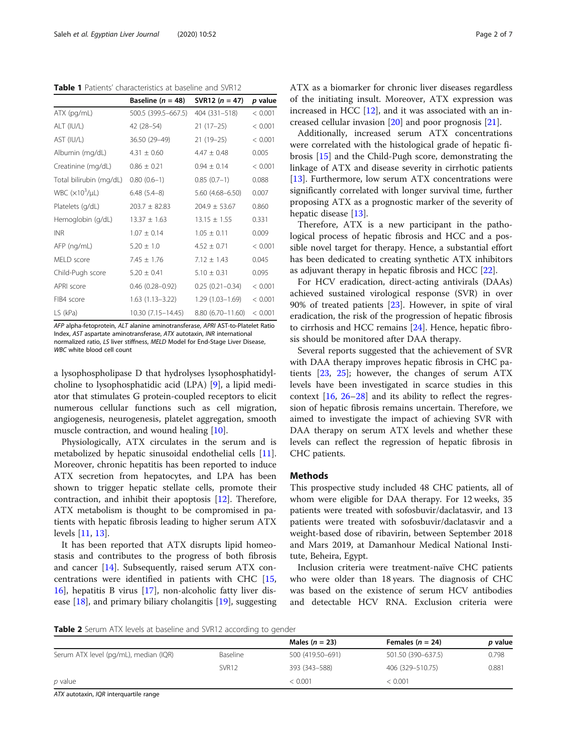<span id="page-1-0"></span>Table 1 Patients' characteristics at baseline and SVR12

|                         | Baseline ( $n = 48$ ) | SVR12 $(n = 47)$    | p value |
|-------------------------|-----------------------|---------------------|---------|
| ATX (pg/mL)             | 500.5 (399.5-667.5)   | 404 (331-518)       | < 0.001 |
| ALT (IU/L)              | 42 (28–54)            | $21(17-25)$         | < 0.001 |
| AST (IU/L)              | 36.50 (29-49)         | $21(19-25)$         | < 0.001 |
| Albumin (mg/dL)         | $4.31 \pm 0.60$       | $4.47 \pm 0.48$     | 0.005   |
| Creatinine (mg/dL)      | $0.86 + 0.21$         | $0.94 + 0.14$       | < 0.001 |
| Total bilirubin (mg/dL) | $0.80(0.6-1)$         | $0.85(0.7-1)$       | 0.088   |
| WBC $(x103/\mu L)$      | $6.48(5.4-8)$         | $5.60(4.68 - 6.50)$ | 0.007   |
| Platelets (g/dL)        | $203.7 \pm 82.83$     | $204.9 \pm 53.67$   | 0.860   |
| Hemoglobin (g/dL)       | $13.37 \pm 1.63$      | $13.15 \pm 1.55$    | 0.331   |
| <b>INR</b>              | $1.07 + 0.14$         | $1.05 + 0.11$       | 0.009   |
| AFP (ng/mL)             | $5.20 \pm 1.0$        | $4.52 \pm 0.71$     | < 0.001 |
| MELD score              | $7.45 \pm 1.76$       | $7.12 \pm 1.43$     | 0.045   |
| Child-Pugh score        | $5.20 \pm 0.41$       | $5.10 \pm 0.31$     | 0.095   |
| APRI score              | $0.46(0.28 - 0.92)$   | $0.25(0.21 - 0.34)$ | < 0.001 |
| FIB4 score              | $1.63(1.13 - 3.22)$   | $1.29(1.03 - 1.69)$ | < 0.001 |
| LS (kPa)                | 10.30 (7.15-14.45)    | 8.80 (6.70-11.60)   | < 0.001 |

AFP alpha-fetoprotein, ALT alanine aminotransferase, APRI AST-to-Platelet Ratio Index, AST aspartate aminotransferase, ATX autotaxin, INR international Index, AST aspartate aminotransferase, ATX autotaxin, INR international normalized ratio, *LS* liver stiffness, MELD Model for End-Stage Liver Disease,<br>WBC white blood cell count WBC white blood cell count

a lysophospholipase D that hydrolyses lysophosphatidylcholine to lysophosphatidic acid (LPA) [[9\]](#page-5-0), a lipid mediator that stimulates G protein-coupled receptors to elicit numerous cellular functions such as cell migration, angiogenesis, neurogenesis, platelet aggregation, smooth muscle contraction, and wound healing [\[10](#page-5-0)].

Physiologically, ATX circulates in the serum and is metabolized by hepatic sinusoidal endothelial cells [\[11](#page-5-0)]. Moreover, chronic hepatitis has been reported to induce ATX secretion from hepatocytes, and LPA has been shown to trigger hepatic stellate cells, promote their contraction, and inhibit their apoptosis [[12\]](#page-5-0). Therefore, ATX metabolism is thought to be compromised in patients with hepatic fibrosis leading to higher serum ATX levels [[11,](#page-5-0) [13\]](#page-5-0).

It has been reported that ATX disrupts lipid homeostasis and contributes to the progress of both fibrosis and cancer [[14\]](#page-5-0). Subsequently, raised serum ATX concentrations were identified in patients with CHC [[15](#page-5-0), [16\]](#page-5-0), hepatitis B virus [[17\]](#page-5-0), non-alcoholic fatty liver disease [[18\]](#page-5-0), and primary biliary cholangitis [[19\]](#page-5-0), suggesting ATX as a biomarker for chronic liver diseases regardless of the initiating insult. Moreover, ATX expression was increased in HCC  $[12]$  $[12]$  $[12]$ , and it was associated with an increased cellular invasion [[20](#page-5-0)] and poor prognosis [\[21\]](#page-5-0).

Additionally, increased serum ATX concentrations were correlated with the histological grade of hepatic fibrosis [\[15](#page-5-0)] and the Child-Pugh score, demonstrating the linkage of ATX and disease severity in cirrhotic patients [[13\]](#page-5-0). Furthermore, low serum ATX concentrations were significantly correlated with longer survival time, further proposing ATX as a prognostic marker of the severity of hepatic disease [[13\]](#page-5-0).

Therefore, ATX is a new participant in the pathological process of hepatic fibrosis and HCC and a possible novel target for therapy. Hence, a substantial effort has been dedicated to creating synthetic ATX inhibitors as adjuvant therapy in hepatic fibrosis and HCC [[22\]](#page-5-0).

For HCV eradication, direct-acting antivirals (DAAs) achieved sustained virological response (SVR) in over 90% of treated patients [\[23](#page-5-0)]. However, in spite of viral eradication, the risk of the progression of hepatic fibrosis to cirrhosis and HCC remains [[24\]](#page-5-0). Hence, hepatic fibrosis should be monitored after DAA therapy.

Several reports suggested that the achievement of SVR with DAA therapy improves hepatic fibrosis in CHC patients [\[23,](#page-5-0) [25\]](#page-5-0); however, the changes of serum ATX levels have been investigated in scarce studies in this context [\[16](#page-5-0), [26](#page-5-0)–[28\]](#page-5-0) and its ability to reflect the regression of hepatic fibrosis remains uncertain. Therefore, we aimed to investigate the impact of achieving SVR with DAA therapy on serum ATX levels and whether these levels can reflect the regression of hepatic fibrosis in CHC patients.

#### Methods

This prospective study included 48 CHC patients, all of whom were eligible for DAA therapy. For 12 weeks, 35 patients were treated with sofosbuvir/daclatasvir, and 13 patients were treated with sofosbuvir/daclatasvir and a weight-based dose of ribavirin, between September 2018 and Mars 2019, at Damanhour Medical National Institute, Beheira, Egypt.

Inclusion criteria were treatment-naïve CHC patients who were older than 18 years. The diagnosis of CHC was based on the existence of serum HCV antibodies and detectable HCV RNA. Exclusion criteria were

**Table 2** Serum ATX levels at baseline and SVR12 according to gender

|                                       |                   | Males $(n = 23)$ | Females ( $n = 24$ ) | <i>p</i> value |
|---------------------------------------|-------------------|------------------|----------------------|----------------|
| Serum ATX level (pg/mL), median (IQR) | Baseline          | 500 (419.50-691) | 501.50 (390-637.5)   | 0.798          |
|                                       | SVR <sub>12</sub> | 393 (343–588)    | 406 (329 - 510.75)   | 0.881          |
| p value                               |                   | < 0.001          | < 0.001              |                |

ATX autotaxin, IQR interquartile range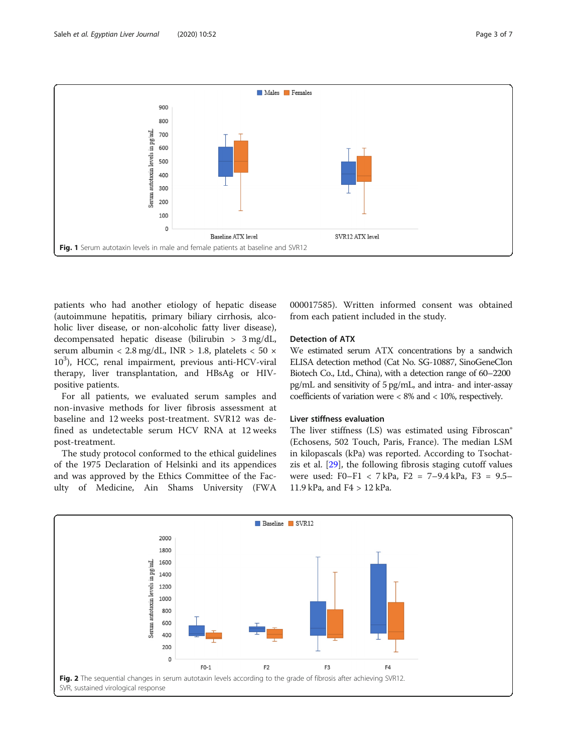<span id="page-2-0"></span>

patients who had another etiology of hepatic disease (autoimmune hepatitis, primary biliary cirrhosis, alcoholic liver disease, or non-alcoholic fatty liver disease), decompensated hepatic disease (bilirubin > 3 mg/dL, serum albumin < 2.8 mg/dL, INR > 1.8, platelets < 50  $\times$ 10<sup>3</sup>), HCC, renal impairment, previous anti-HCV-viral therapy, liver transplantation, and HBsAg or HIVpositive patients.

For all patients, we evaluated serum samples and non-invasive methods for liver fibrosis assessment at baseline and 12 weeks post-treatment. SVR12 was defined as undetectable serum HCV RNA at 12 weeks post-treatment.

The study protocol conformed to the ethical guidelines of the 1975 Declaration of Helsinki and its appendices and was approved by the Ethics Committee of the Faculty of Medicine, Ain Shams University (FWA 000017585). Written informed consent was obtained from each patient included in the study.

# Detection of ATX

We estimated serum ATX concentrations by a sandwich ELISA detection method (Cat No. SG-10887, SinoGeneClon Biotech Co., Ltd., China), with a detection range of 60–2200 pg/mL and sensitivity of 5 pg/mL, and intra- and inter-assay coefficients of variation were < 8% and < 10%, respectively.

#### Liver stiffness evaluation

The liver stiffness (LS) was estimated using Fibroscan® (Echosens, 502 Touch, Paris, France). The median LSM in kilopascals (kPa) was reported. According to Tsochatzis et al. [\[29](#page-5-0)], the following fibrosis staging cutoff values were used: F0–F1 < 7 kPa, F2 = 7–9.4 kPa, F3 = 9.5– 11.9 kPa, and F4 > 12 kPa.

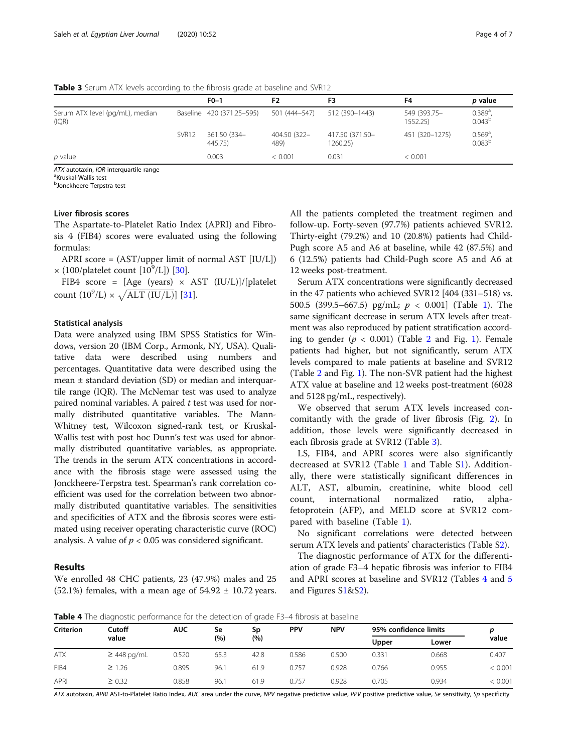| <b>TWATE 3</b> SCRITT ATTACKED according to the morosis grade at basemite and symptom |                   |                           |                      |                             |                          |                                            |  |  |
|---------------------------------------------------------------------------------------|-------------------|---------------------------|----------------------|-----------------------------|--------------------------|--------------------------------------------|--|--|
|                                                                                       |                   | $F0-1$                    | F <sub>2</sub>       |                             | F4                       | p value                                    |  |  |
| Serum ATX level (pg/mL), median<br>(IQR)                                              |                   | Baseline 420 (371.25-595) | 501 (444–547)        | 512 (390-1443)              | 549 (393.75-<br>1552.25) | $0.389^{a}$<br>$0.043^{b}$                 |  |  |
|                                                                                       | SVR <sub>12</sub> | 361.50 (334-<br>445.75)   | 404.50 (322-<br>489) | 417.50 (371.50-<br>1260.25) | 451 (320-1275)           | $0.569$ <sup>a</sup><br>0.083 <sup>b</sup> |  |  |
| p value                                                                               |                   | 0.003                     | < 0.001              | 0.031                       | < 0.001                  |                                            |  |  |

**Table 3** Serum ATX levels according to the fibrosis grade at baseline and SVR12

ATX autotaxin, IQR interquartile range

<sup>a</sup>Kruskal-Wallis test

<sup>b</sup>Jonckheere-Terpstra test

## Liver fibrosis scores

The Aspartate-to-Platelet Ratio Index (APRI) and Fibrosis 4 (FIB4) scores were evaluated using the following formulas:

APRI score = (AST/upper limit of normal AST [IU/L])  $\times$  (100/platelet count [10<sup>9</sup>/L]) [\[30](#page-5-0)].

FIB4 score = [Age (years) × AST (IU/L)]/[platelet FIB4 score = [Age (years) × A<br>count  $(10^9/L) \times \sqrt{ALT (IU/L)}$ ] [[31](#page-5-0)].

#### Statistical analysis

Data were analyzed using IBM SPSS Statistics for Windows, version 20 (IBM Corp., Armonk, NY, USA). Qualitative data were described using numbers and percentages. Quantitative data were described using the mean ± standard deviation (SD) or median and interquartile range (IQR). The McNemar test was used to analyze paired nominal variables. A paired  $t$  test was used for normally distributed quantitative variables. The Mann-Whitney test, Wilcoxon signed-rank test, or Kruskal-Wallis test with post hoc Dunn's test was used for abnormally distributed quantitative variables, as appropriate. The trends in the serum ATX concentrations in accordance with the fibrosis stage were assessed using the Jonckheere-Terpstra test. Spearman's rank correlation coefficient was used for the correlation between two abnormally distributed quantitative variables. The sensitivities and specificities of ATX and the fibrosis scores were estimated using receiver operating characteristic curve (ROC) analysis. A value of  $p < 0.05$  was considered significant.

#### Results

We enrolled 48 CHC patients, 23 (47.9%) males and 25 (52.1%) females, with a mean age of  $54.92 \pm 10.72$  years. All the patients completed the treatment regimen and follow-up. Forty-seven (97.7%) patients achieved SVR12. Thirty-eight (79.2%) and 10 (20.8%) patients had Child-Pugh score A5 and A6 at baseline, while 42 (87.5%) and 6 (12.5%) patients had Child-Pugh score A5 and A6 at 12 weeks post-treatment.

Serum ATX concentrations were significantly decreased in the 47 patients who achieved SVR12 [404 (331–518) vs. 500.5 (399.5–667.5) pg/mL;  $p < 0.001$  $p < 0.001$  (Table 1). The same significant decrease in serum ATX levels after treatment was also reproduced by patient stratification according to gender  $(p < 0.001)$  $(p < 0.001)$  $(p < 0.001)$  (Table [2](#page-1-0) and Fig. 1). Female patients had higher, but not significantly, serum ATX levels compared to male patients at baseline and SVR12 (Table [2](#page-1-0) and Fig. [1](#page-2-0)). The non-SVR patient had the highest ATX value at baseline and 12 weeks post-treatment (6028 and 5128 pg/mL, respectively).

We observed that serum ATX levels increased concomitantly with the grade of liver fibrosis (Fig. [2](#page-2-0)). In addition, those levels were significantly decreased in each fibrosis grade at SVR12 (Table 3).

LS, FIB4, and APRI scores were also significantly decreased at SVR12 (Table [1](#page-1-0) and Table S[1\)](#page-4-0). Additionally, there were statistically significant differences in ALT, AST, albumin, creatinine, white blood cell count, international normalized ratio, alphafetoprotein (AFP), and MELD score at SVR12 compared with baseline (Table [1](#page-1-0)).

No significant correlations were detected between serum ATX levels and patients' characteristics (Table [S2\)](#page-4-0).

The diagnostic performance of ATX for the differentiation of grade F3–4 hepatic fibrosis was inferior to FIB4 and APRI scores at baseline and SVR12 (Tables 4 and [5](#page-4-0) and Figures [S1](#page-4-0)&[S2](#page-4-0)).

Table 4 The diagnostic performance for the detection of grade F3-4 fibrosis at baseline

| <b>Criterion</b> | Cutoff<br>value  | AUC   | Se<br>(%) | Sp<br>(%) | <b>PPV</b> | <b>NPV</b> | 95% confidence limits |       |         |
|------------------|------------------|-------|-----------|-----------|------------|------------|-----------------------|-------|---------|
|                  |                  |       |           |           |            |            | Upper                 | Lower | value   |
| <b>ATX</b>       | $\geq$ 448 pg/mL | 0.520 | 65.3      | 42.8      | 0.586      | 0.500      | 0.331                 | 0.668 | 0.407   |
| FIB4             | $\geq 1.26$      | 0.895 | 96.1      | 61.9      | 0.757      | 0.928      | 0.766                 | 0.955 | < 0.001 |
| APRI             | $\geq 0.32$      | 0.858 | 96.1      | 61.9      | 0.757      | 0.928      | 0.705                 | 0.934 | < 0.001 |

ATX autotaxin, APRI AST-to-Platelet Ratio Index, AUC area under the curve, NPV negative predictive value, PPV positive predictive value, Se sensitivity, Sp specificity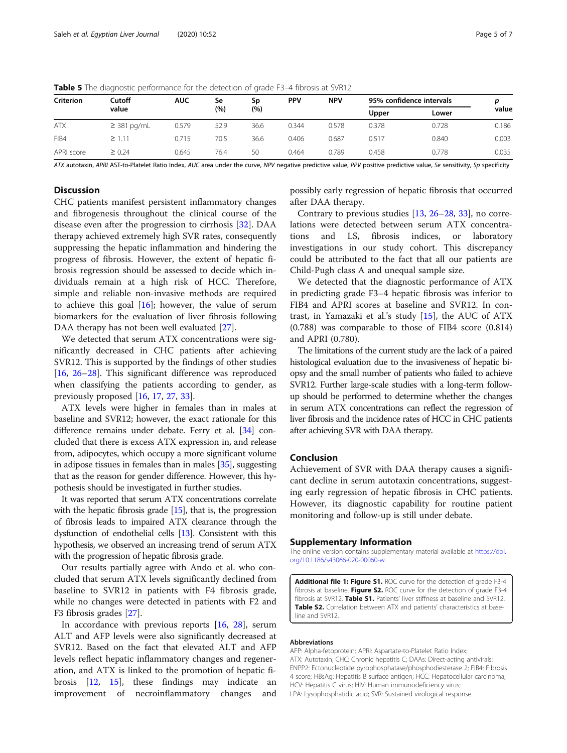|                  | $\tilde{\phantom{a}}$ |            |           | $\tilde{\phantom{a}}$ |            |            |                          |       |       |
|------------------|-----------------------|------------|-----------|-----------------------|------------|------------|--------------------------|-------|-------|
| <b>Criterion</b> | Cutoff<br>value       | <b>AUC</b> | Se<br>(%) | Sp<br>(%)             | <b>PPV</b> | <b>NPV</b> | 95% confidence intervals |       |       |
|                  |                       |            |           |                       |            |            | Upper                    | Lower | value |
| <b>ATX</b>       | $\geq$ 381 pg/mL      | 0.579      | 52.9      | 36.6                  | 0.344      | 0.578      | 0.378                    | 0.728 | 0.186 |
| FIB4             | $\geq 1.11$           | 0.715      | 70.5      | 36.6                  | 0.406      | 0.687      | 0.517                    | 0.840 | 0.003 |
| APRI score       | $\geq 0.24$           | 0.645      | 76.4      | 50                    | 0.464      | 0.789      | 0.458                    | 0.778 | 0.035 |

<span id="page-4-0"></span>Table 5 The diagnostic performance for the detection of grade F3-4 fibrosis at SVR12

ATX autotaxin, APRI AST-to-Platelet Ratio Index, AUC area under the curve, NPV negative predictive value, PPV positive predictive value, Se sensitivity, Sp specificity

# **Discussion**

CHC patients manifest persistent inflammatory changes and fibrogenesis throughout the clinical course of the disease even after the progression to cirrhosis [\[32](#page-5-0)]. DAA therapy achieved extremely high SVR rates, consequently suppressing the hepatic inflammation and hindering the progress of fibrosis. However, the extent of hepatic fibrosis regression should be assessed to decide which individuals remain at a high risk of HCC. Therefore, simple and reliable non-invasive methods are required to achieve this goal  $[16]$  $[16]$ ; however, the value of serum biomarkers for the evaluation of liver fibrosis following DAA therapy has not been well evaluated [\[27](#page-5-0)].

We detected that serum ATX concentrations were significantly decreased in CHC patients after achieving SVR12. This is supported by the findings of other studies [[16,](#page-5-0) [26](#page-5-0)–[28\]](#page-5-0). This significant difference was reproduced when classifying the patients according to gender, as previously proposed [[16,](#page-5-0) [17,](#page-5-0) [27,](#page-5-0) [33\]](#page-6-0).

ATX levels were higher in females than in males at baseline and SVR12; however, the exact rationale for this difference remains under debate. Ferry et al. [[34](#page-6-0)] concluded that there is excess ATX expression in, and release from, adipocytes, which occupy a more significant volume in adipose tissues in females than in males [\[35](#page-6-0)], suggesting that as the reason for gender difference. However, this hypothesis should be investigated in further studies.

It was reported that serum ATX concentrations correlate with the hepatic fibrosis grade [\[15\]](#page-5-0), that is, the progression of fibrosis leads to impaired ATX clearance through the dysfunction of endothelial cells [\[13\]](#page-5-0). Consistent with this hypothesis, we observed an increasing trend of serum ATX with the progression of hepatic fibrosis grade.

Our results partially agree with Ando et al. who concluded that serum ATX levels significantly declined from baseline to SVR12 in patients with F4 fibrosis grade, while no changes were detected in patients with F2 and F3 fibrosis grades [\[27](#page-5-0)].

In accordance with previous reports  $[16, 28]$  $[16, 28]$  $[16, 28]$ , serum ALT and AFP levels were also significantly decreased at SVR12. Based on the fact that elevated ALT and AFP levels reflect hepatic inflammatory changes and regeneration, and ATX is linked to the promotion of hepatic fibrosis [\[12](#page-5-0), [15\]](#page-5-0), these findings may indicate an improvement of necroinflammatory changes and

possibly early regression of hepatic fibrosis that occurred after DAA therapy.

Contrary to previous studies [[13,](#page-5-0) [26](#page-5-0)–[28,](#page-5-0) [33\]](#page-6-0), no correlations were detected between serum ATX concentrations and LS, fibrosis indices, or laboratory investigations in our study cohort. This discrepancy could be attributed to the fact that all our patients are Child-Pugh class A and unequal sample size.

We detected that the diagnostic performance of ATX in predicting grade F3–4 hepatic fibrosis was inferior to FIB4 and APRI scores at baseline and SVR12. In contrast, in Yamazaki et al.'s study [[15\]](#page-5-0), the AUC of ATX (0.788) was comparable to those of FIB4 score (0.814) and APRI (0.780).

The limitations of the current study are the lack of a paired histological evaluation due to the invasiveness of hepatic biopsy and the small number of patients who failed to achieve SVR12. Further large-scale studies with a long-term followup should be performed to determine whether the changes in serum ATX concentrations can reflect the regression of liver fibrosis and the incidence rates of HCC in CHC patients after achieving SVR with DAA therapy.

## Conclusion

Achievement of SVR with DAA therapy causes a significant decline in serum autotaxin concentrations, suggesting early regression of hepatic fibrosis in CHC patients. However, its diagnostic capability for routine patient monitoring and follow-up is still under debate.

#### Supplementary Information

The online version contains supplementary material available at [https://doi.](https://doi.org/10.1186/s43066-020-00060-w) [org/10.1186/s43066-020-00060-w](https://doi.org/10.1186/s43066-020-00060-w).

Additional file 1: Figure S1. ROC curve for the detection of grade F3-4 fibrosis at baseline. Figure S2. ROC curve for the detection of grade F3-4 fibrosis at SVR12. Table S1. Patients' liver stiffness at baseline and SVR12. Table S2. Correlation between ATX and patients' characteristics at baseline and SVR12.

#### Abbreviations

AFP: Alpha-fetoprotein; APRI: Aspartate-to-Platelet Ratio Index; ATX: Autotaxin; CHC: Chronic hepatitis C; DAAs: Direct-acting antivirals; ENPP2: Ectonucleotide pyrophosphatase/phosphodiesterase 2; FIB4: Fibrosis 4 score; HBsAg: Hepatitis B surface antigen; HCC: Hepatocellular carcinoma; HCV: Hepatitis C virus; HIV: Human immunodeficiency virus; LPA: Lysophosphatidic acid; SVR: Sustained virological response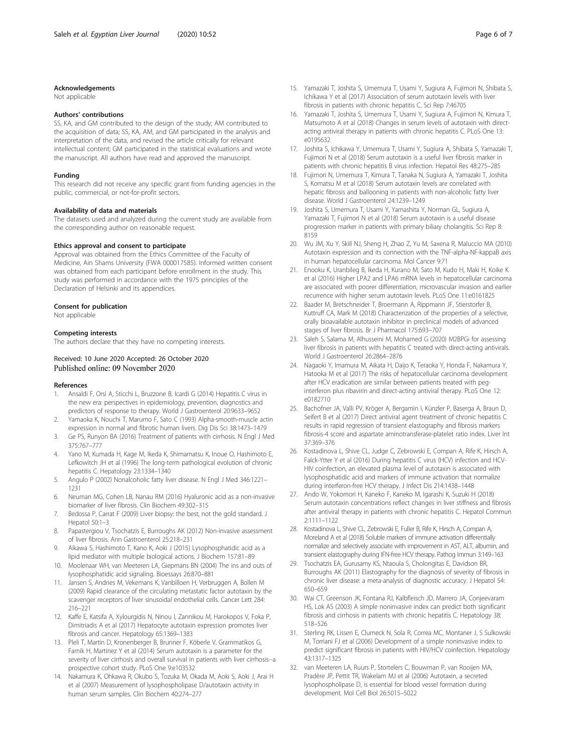#### <span id="page-5-0"></span>Acknowledgements

Not applicable

#### Authors' contributions

SS, KA, and GM contributed to the design of the study; AM contributed to the acquisition of data; SS, KA, AM, and GM participated in the analysis and interpretation of the data, and revised the article critically for relevant intellectual content; GM participated in the statistical evaluations and wrote the manuscript. All authors have read and approved the manuscript.

#### Funding

This research did not receive any specific grant from funding agencies in the public, commercial, or not-for-profit sectors.

#### Availability of data and materials

The datasets used and analyzed during the current study are available from the corresponding author on reasonable request.

#### Ethics approval and consent to participate

Approval was obtained from the Ethics Committee of the Faculty of Medicine, Ain Shams University (FWA 000017585). Informed written consent was obtained from each participant before enrollment in the study. This study was performed in accordance with the 1975 principles of the Declaration of Helsinki and its appendices.

#### Consent for publication

Not applicable

#### Competing interests

The authors declare that they have no competing interests.

# Received: 10 June 2020 Accepted: 26 October 2020<br>Published online: 09 November 2020

#### References

- 1. Ansaldi F, Orsi A, Sticchi L, Bruzzone B, Icardi G (2014) Hepatitis C virus in the new era: perspectives in epidemiology, prevention, diagnostics and predictors of response to therapy. World J Gastroenterol 20:9633–9652
- 2. Yamaoka K, Nouchi T, Marumo F, Sato C (1993) Alpha-smooth-muscle actin expression in normal and fibrotic human livers. Dig Dis Sci 38:1473–1479
- 3. Ge PS, Runyon BA (2016) Treatment of patients with cirrhosis. N Engl J Med 375:767–777
- 4. Yano M, Kumada H, Kage M, Ikeda K, Shimamatsu K, Inoue O, Hashimoto E, Lefkowitch JH et al (1996) The long-term pathological evolution of chronic hepatitis C. Hepatology 23:1334–1340
- 5. Angulo P (2002) Nonalcoholic fatty liver disease. N Engl J Med 346:1221– 1231
- 6. Neuman MG, Cohen LB, Nanau RM (2016) Hyaluronic acid as a non-invasive biomarker of liver fibrosis. Clin Biochem 49:302–315
- 7. Bedossa P, Carrat F (2009) Liver biopsy: the best, not the gold standard. J Hepatol 50:1–3
- 8. Papastergiou V, Tsochatzis E, Burroughs AK (2012) Non-invasive assessment of liver fibrosis. Ann Gastroenterol 25:218–231
- 9. Aikawa S, Hashimoto T, Kano K, Aoki J (2015) Lysophosphatidic acid as a lipid mediator with multiple biological actions. J Biochem 157:81–89
- 10. Moolenaar WH, van Meeteren LA, Giepmans BN (2004) The ins and outs of lysophosphatidic acid signaling. Bioessays 26:870–881
- 11. Jansen S, Andries M, Vekemans K, Vanbilloen H, Verbruggen A, Bollen M (2009) Rapid clearance of the circulating metastatic factor autotaxin by the scavenger receptors of liver sinusoidal endothelial cells. Cancer Lett 284: 216–221
- 12. Kaffe E, Katsifa A, Xylourgidis N, Ninou I, Zannikou M, Harokopos V, Foka P, Dimitriadis A et al (2017) Hepatocyte autotaxin expression promotes liver fibrosis and cancer. Hepatology 65:1369–1383
- 13. Pleli T, Martin D, Kronenberger B, Brunner F, Köberle V, Grammatikos G, Farnik H, Martinez Y et al (2014) Serum autotaxin is a parameter for the severity of liver cirrhosis and overall survival in patients with liver cirrhosis--a prospective cohort study. PLoS One 9:e103532
- 14. Nakamura K, Ohkawa R, Okubo S, Tozuka M, Okada M, Aoki S, Aoki J, Arai H et al (2007) Measurement of lysophospholipase D/autotaxin activity in human serum samples. Clin Biochem 40:274–277
- 15. Yamazaki T, Joshita S, Umemura T, Usami Y, Sugiura A, Fujimori N, Shibata S, Ichikawa Y et al (2017) Association of serum autotaxin levels with liver fibrosis in patients with chronic hepatitis C. Sci Rep 7:46705
- 16. Yamazaki T, Joshita S, Umemura T, Usami Y, Sugiura A, Fujimori N, Kimura T, Matsumoto A et al (2018) Changes in serum levels of autotaxin with directacting antiviral therapy in patients with chronic hepatitis C. PLoS One 13: e0195632
- 17. Joshita S, Ichikawa Y, Umemura T, Usami Y, Sugiura A, Shibata S, Yamazaki T, Fujimori N et al (2018) Serum autotaxin is a useful liver fibrosis marker in patients with chronic hepatitis B virus infection. Hepatol Res 48:275–285
- 18. Fujimori N, Umemura T, Kimura T, Tanaka N, Sugiura A, Yamazaki T, Joshita S, Komatsu M et al (2018) Serum autotaxin levels are correlated with hepatic fibrosis and ballooning in patients with non-alcoholic fatty liver disease. World J Gastroenterol 24:1239–1249
- 19. Joshita S, Umemura T, Usami Y, Yamashita Y, Norman GL, Sugiura A, Yamazaki T, Fujimori N et al (2018) Serum autotaxin is a useful disease progression marker in patients with primary biliary cholangitis. Sci Rep 8: 8159
- 20. Wu JM, Xu Y, Skill NJ, Sheng H, Zhao Z, Yu M, Saxena R, Maluccio MA (2010) Autotaxin expression and its connection with the TNF-alpha-NF-kappaB axis in human hepatocellular carcinoma. Mol Cancer 9:71
- 21. Enooku K, Uranbileg B, Ikeda H, Kurano M, Sato M, Kudo H, Maki H, Koike K et al (2016) Higher LPA2 and LPA6 mRNA levels in hepatocellular carcinoma are associated with poorer differentiation, microvascular invasion and earlier recurrence with higher serum autotaxin levels. PLoS One 11:e0161825
- 22. Baader M, Bretschneider T, Broermann A, Rippmann JF, Stierstorfer B, Kuttruff CA, Mark M (2018) Characterization of the properties of a selective, orally bioavailable autotaxin inhibitor in preclinical models of advanced stages of liver fibrosis. Br J Pharmacol 175:693–707
- 23. Saleh S, Salama M, Alhusseini M, Mohamed G (2020) M2BPGi for assessing liver fibrosis in patients with hepatitis C treated with direct-acting antivirals. World J Gastroenterol 26:2864–2876
- 24. Nagaoki Y, Imamura M, Aikata H, Daijo K, Teraoka Y, Honda F, Nakamura Y, Hatooka M et al (2017) The risks of hepatocellular carcinoma development after HCV eradication are similar between patients treated with peginterferon plus ribavirin and direct-acting antiviral therapy. PLoS One 12: e0182710
- 25. Bachofner JA, Valli PV, Kröger A, Bergamin I, Künzler P, Baserga A, Braun D, Seifert B et al (2017) Direct antiviral agent treatment of chronic hepatitis C results in rapid regression of transient elastography and fibrosis markers fibrosis-4 score and aspartate aminotransferase-platelet ratio index. Liver Int 37:369–376
- 26. Kostadinova L, Shive CL, Judge C, Zebrowski E, Compan A, Rife K, Hirsch A, Falck-Ytter Y et al (2016) During hepatitis C virus (HCV) infection and HCV-HIV coinfection, an elevated plasma level of autotaxin is associated with lysophosphatidic acid and markers of immune activation that normalize during interferon-free HCV therapy. J Infect Dis 214:1438–1448
- 27. Ando W, Yokomori H, Kaneko F, Kaneko M, Igarashi K, Suzuki H (2018) Serum autotaxin concentrations reflect changes in liver stiffness and fibrosis after antiviral therapy in patients with chronic hepatitis C. Hepatol Commun 2:1111–1122
- 28. Kostadinova L, Shive CL, Zebrowski E, Fuller B, Rife K, Hirsch A, Compan A, Moreland A et al (2018) Soluble markers of immune activation differentially normalize and selectively associate with improvement in AST, ALT, albumin, and transient elastography during IFN-free HCV therapy. Pathog Immun 3:149–163
- 29. Tsochatzis EA, Gurusamy KS, Ntaoula S, Cholongitas E, Davidson BR, Burroughs AK (2011) Elastography for the diagnosis of severity of fibrosis in chronic liver disease: a meta-analysis of diagnostic accuracy. J Hepatol 54: 650–659
- 30. Wai CT, Greenson JK, Fontana RJ, Kalbfleisch JD, Marrero JA, Conjeevaram HS, Lok AS (2003) A simple noninvasive index can predict both significant fibrosis and cirrhosis in patients with chronic hepatitis C. Hepatology 38: 518–526
- 31. Sterling RK, Lissen E, Clumeck N, Sola R, Correa MC, Montaner J, S Sulkowski M, Torriani FJ et al (2006) Development of a simple noninvasive index to predict significant fibrosis in patients with HIV/HCV coinfection. Hepatology 43:1317–1325
- 32. van Meeteren LA, Ruurs P, Stortelers C, Bouwman P, van Rooijen MA, Pradère JP, Pettit TR, Wakelam MJ et al (2006) Autotaxin, a secreted lysophospholipase D, is essential for blood vessel formation during development. Mol Cell Biol 26:5015–5022